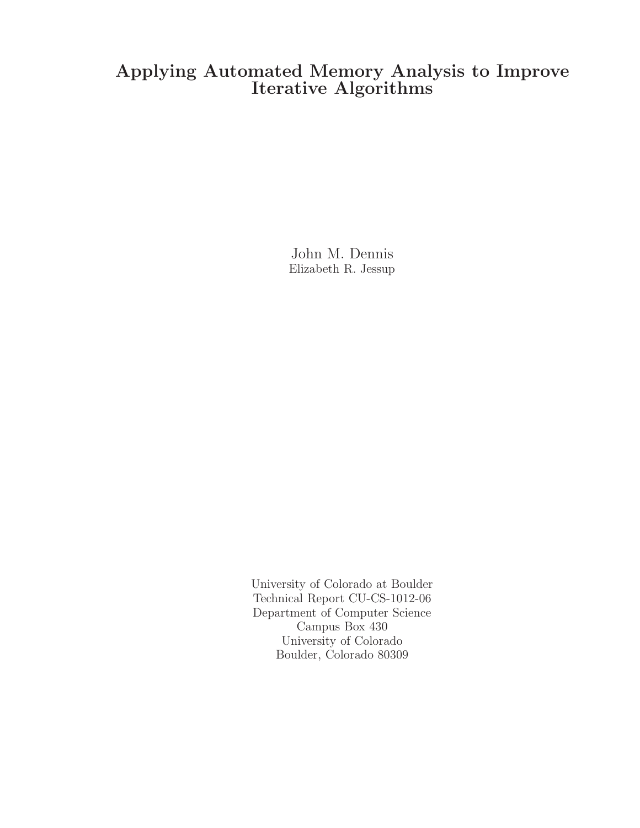# Applying Automated Memory Analysis to Improve Iterative Algorithms

John M. Dennis Elizabeth R. Jessup

University of Colorado at Boulder Technical Report CU-CS-1012-06 Department of Computer Science Campus Box 430 University of Colorado Boulder, Colorado 80309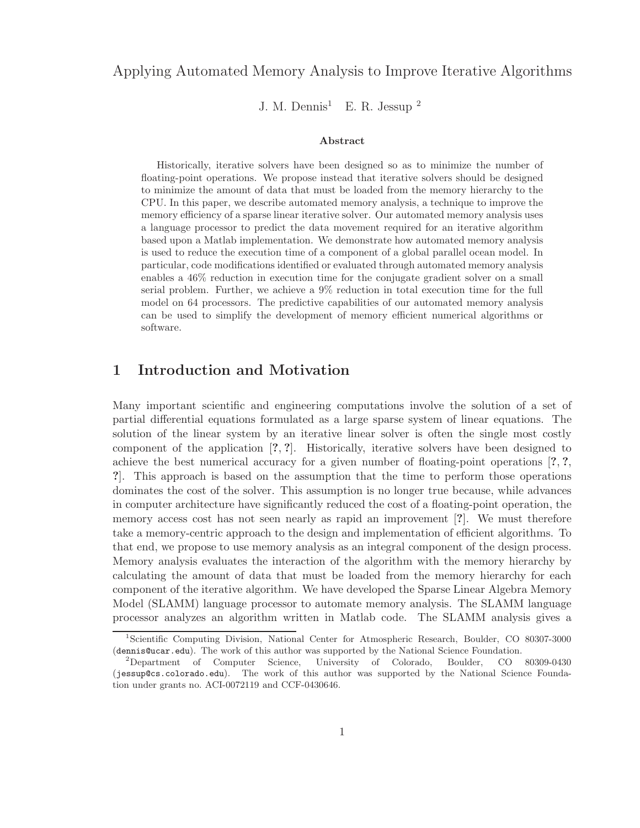# Applying Automated Memory Analysis to Improve Iterative Algorithms

J. M. Dennis<sup>1</sup> E. R. Jessup<sup>2</sup>

#### Abstract

Historically, iterative solvers have been designed so as to minimize the number of floating-point operations. We propose instead that iterative solvers should be designed to minimize the amount of data that must be loaded from the memory hierarchy to the CPU. In this paper, we describe automated memory analysis, a technique to improve the memory efficiency of a sparse linear iterative solver. Our automated memory analysis uses a language processor to predict the data movement required for an iterative algorithm based upon a Matlab implementation. We demonstrate how automated memory analysis is used to reduce the execution time of a component of a global parallel ocean model. In particular, code modifications identified or evaluated through automated memory analysis enables a 46% reduction in execution time for the conjugate gradient solver on a small serial problem. Further, we achieve a 9% reduction in total execution time for the full model on 64 processors. The predictive capabilities of our automated memory analysis can be used to simplify the development of memory efficient numerical algorithms or software.

# 1 Introduction and Motivation

Many important scientific and engineering computations involve the solution of a set of partial differential equations formulated as a large sparse system of linear equations. The solution of the linear system by an iterative linear solver is often the single most costly component of the application [?, ?]. Historically, iterative solvers have been designed to achieve the best numerical accuracy for a given number of floating-point operations [?, ?, ?]. This approach is based on the assumption that the time to perform those operations dominates the cost of the solver. This assumption is no longer true because, while advances in computer architecture have significantly reduced the cost of a floating-point operation, the memory access cost has not seen nearly as rapid an improvement [?]. We must therefore take a memory-centric approach to the design and implementation of efficient algorithms. To that end, we propose to use memory analysis as an integral component of the design process. Memory analysis evaluates the interaction of the algorithm with the memory hierarchy by calculating the amount of data that must be loaded from the memory hierarchy for each component of the iterative algorithm. We have developed the Sparse Linear Algebra Memory Model (SLAMM) language processor to automate memory analysis. The SLAMM language processor analyzes an algorithm written in Matlab code. The SLAMM analysis gives a

<sup>1</sup>Scientific Computing Division, National Center for Atmospheric Research, Boulder, CO 80307-3000 (dennis@ucar.edu). The work of this author was supported by the National Science Foundation.

<sup>2</sup>Department of Computer Science, University of Colorado, Boulder, CO 80309-0430 (jessup@cs.colorado.edu). The work of this author was supported by the National Science Foundation under grants no. ACI-0072119 and CCF-0430646.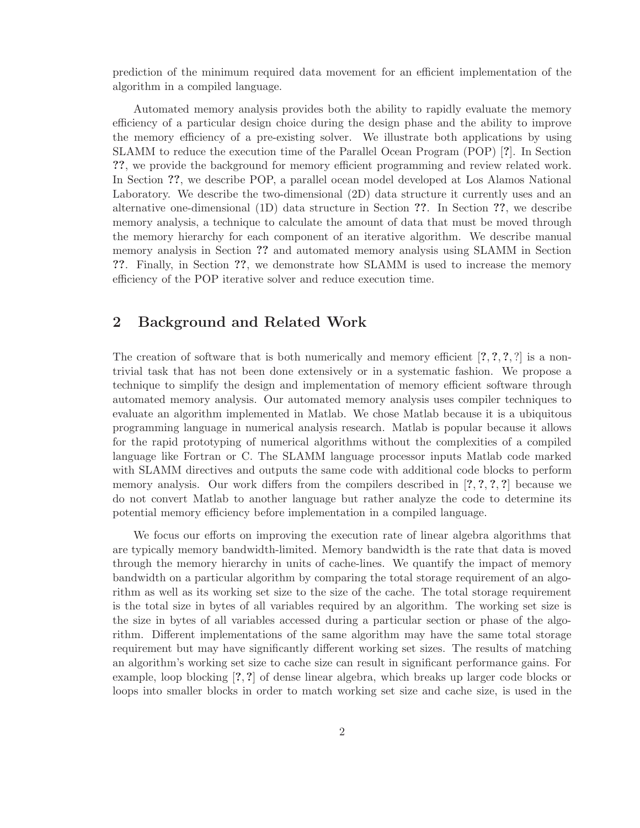prediction of the minimum required data movement for an efficient implementation of the algorithm in a compiled language.

Automated memory analysis provides both the ability to rapidly evaluate the memory efficiency of a particular design choice during the design phase and the ability to improve the memory efficiency of a pre-existing solver. We illustrate both applications by using SLAMM to reduce the execution time of the Parallel Ocean Program (POP) [?]. In Section ??, we provide the background for memory efficient programming and review related work. In Section ??, we describe POP, a parallel ocean model developed at Los Alamos National Laboratory. We describe the two-dimensional (2D) data structure it currently uses and an alternative one-dimensional (1D) data structure in Section ??. In Section ??, we describe memory analysis, a technique to calculate the amount of data that must be moved through the memory hierarchy for each component of an iterative algorithm. We describe manual memory analysis in Section ?? and automated memory analysis using SLAMM in Section ??. Finally, in Section ??, we demonstrate how SLAMM is used to increase the memory efficiency of the POP iterative solver and reduce execution time.

# 2 Background and Related Work

The creation of software that is both numerically and memory efficient  $[?,?,?,']$  is a nontrivial task that has not been done extensively or in a systematic fashion. We propose a technique to simplify the design and implementation of memory efficient software through automated memory analysis. Our automated memory analysis uses compiler techniques to evaluate an algorithm implemented in Matlab. We chose Matlab because it is a ubiquitous programming language in numerical analysis research. Matlab is popular because it allows for the rapid prototyping of numerical algorithms without the complexities of a compiled language like Fortran or C. The SLAMM language processor inputs Matlab code marked with SLAMM directives and outputs the same code with additional code blocks to perform memory analysis. Our work differs from the compilers described in  $[?,?,?,']$  because we do not convert Matlab to another language but rather analyze the code to determine its potential memory efficiency before implementation in a compiled language.

We focus our efforts on improving the execution rate of linear algebra algorithms that are typically memory bandwidth-limited. Memory bandwidth is the rate that data is moved through the memory hierarchy in units of cache-lines. We quantify the impact of memory bandwidth on a particular algorithm by comparing the total storage requirement of an algorithm as well as its working set size to the size of the cache. The total storage requirement is the total size in bytes of all variables required by an algorithm. The working set size is the size in bytes of all variables accessed during a particular section or phase of the algorithm. Different implementations of the same algorithm may have the same total storage requirement but may have significantly different working set sizes. The results of matching an algorithm's working set size to cache size can result in significant performance gains. For example, loop blocking [?, ?] of dense linear algebra, which breaks up larger code blocks or loops into smaller blocks in order to match working set size and cache size, is used in the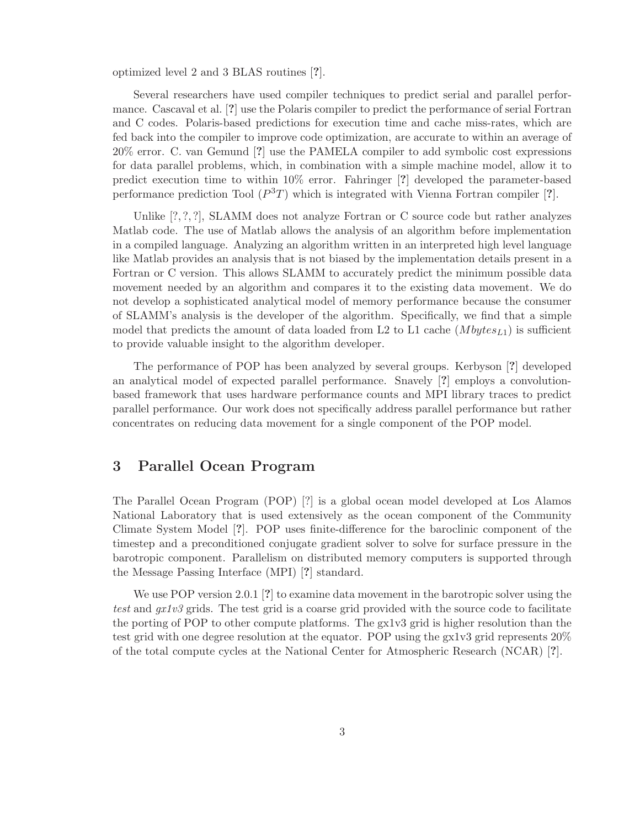optimized level 2 and 3 BLAS routines [?].

Several researchers have used compiler techniques to predict serial and parallel performance. Cascaval et al. [?] use the Polaris compiler to predict the performance of serial Fortran and C codes. Polaris-based predictions for execution time and cache miss-rates, which are fed back into the compiler to improve code optimization, are accurate to within an average of 20% error. C. van Gemund [?] use the PAMELA compiler to add symbolic cost expressions for data parallel problems, which, in combination with a simple machine model, allow it to predict execution time to within 10% error. Fahringer [?] developed the parameter-based performance prediction Tool  $(P^{3}T)$  which is integrated with Vienna Fortran compiler [?].

Unlike [?, ?, ?], SLAMM does not analyze Fortran or C source code but rather analyzes Matlab code. The use of Matlab allows the analysis of an algorithm before implementation in a compiled language. Analyzing an algorithm written in an interpreted high level language like Matlab provides an analysis that is not biased by the implementation details present in a Fortran or C version. This allows SLAMM to accurately predict the minimum possible data movement needed by an algorithm and compares it to the existing data movement. We do not develop a sophisticated analytical model of memory performance because the consumer of SLAMM's analysis is the developer of the algorithm. Specifically, we find that a simple model that predicts the amount of data loaded from L2 to L1 cache  $(Mbytes_{L1})$  is sufficient to provide valuable insight to the algorithm developer.

The performance of POP has been analyzed by several groups. Kerbyson [?] developed an analytical model of expected parallel performance. Snavely [?] employs a convolutionbased framework that uses hardware performance counts and MPI library traces to predict parallel performance. Our work does not specifically address parallel performance but rather concentrates on reducing data movement for a single component of the POP model.

### 3 Parallel Ocean Program

The Parallel Ocean Program (POP) [?] is a global ocean model developed at Los Alamos National Laboratory that is used extensively as the ocean component of the Community Climate System Model [?]. POP uses finite-difference for the baroclinic component of the timestep and a preconditioned conjugate gradient solver to solve for surface pressure in the barotropic component. Parallelism on distributed memory computers is supported through the Message Passing Interface (MPI) [?] standard.

We use POP version 2.0.1 [?] to examine data movement in the barotropic solver using the test and gx1v3 grids. The test grid is a coarse grid provided with the source code to facilitate the porting of POP to other compute platforms. The gx1v3 grid is higher resolution than the test grid with one degree resolution at the equator. POP using the gx1v3 grid represents 20% of the total compute cycles at the National Center for Atmospheric Research (NCAR) [?].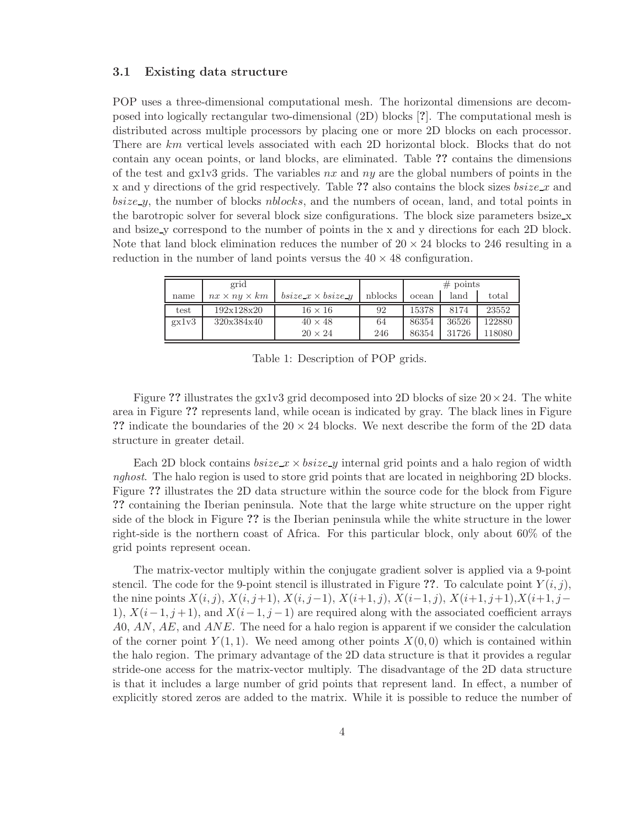#### 3.1 Existing data structure

POP uses a three-dimensional computational mesh. The horizontal dimensions are decomposed into logically rectangular two-dimensional (2D) blocks [?]. The computational mesh is distributed across multiple processors by placing one or more 2D blocks on each processor. There are km vertical levels associated with each 2D horizontal block. Blocks that do not contain any ocean points, or land blocks, are eliminated. Table ?? contains the dimensions of the test and  $gx1v3$  grids. The variables nx and ny are the global numbers of points in the x and y directions of the grid respectively. Table ?? also contains the block sizes *bsize*  $x$  and  $bsize_y$ , the number of blocks *nblocks*, and the numbers of ocean, land, and total points in the barotropic solver for several block size configurations. The block size parameters bsize\_x and bsize y correspond to the number of points in the x and y directions for each 2D block. Note that land block elimination reduces the number of  $20 \times 24$  blocks to 246 resulting in a reduction in the number of land points versus the  $40 \times 48$  configuration.

|       | grid                     |                            |         | # points |       |        |
|-------|--------------------------|----------------------------|---------|----------|-------|--------|
| name  | $nx \times ny \times km$ | $bsize\_x \times bsize\_y$ | nblocks | ocean    | land  | total  |
| test  | 192x128x20               | $16 \times 16$             | 92      | 15378    | 8174  | 23552  |
| gx1v3 | 320x384x40               | $40 \times 48$             | 64      | 86354    | 36526 | 122880 |
|       |                          | $20 \times 24$             | 246     | 86354    | 31726 | 118080 |

Table 1: Description of POP grids.

Figure ?? illustrates the gx1v3 grid decomposed into 2D blocks of size  $20 \times 24$ . The white area in Figure ?? represents land, while ocean is indicated by gray. The black lines in Figure ?? indicate the boundaries of the  $20 \times 24$  blocks. We next describe the form of the 2D data structure in greater detail.

Each 2D block contains  $\text{bsize}\_x \times \text{bsize}\_y$  internal grid points and a halo region of width nghost. The halo region is used to store grid points that are located in neighboring 2D blocks. Figure ?? illustrates the 2D data structure within the source code for the block from Figure ?? containing the Iberian peninsula. Note that the large white structure on the upper right side of the block in Figure ?? is the Iberian peninsula while the white structure in the lower right-side is the northern coast of Africa. For this particular block, only about 60% of the grid points represent ocean.

The matrix-vector multiply within the conjugate gradient solver is applied via a 9-point stencil. The code for the 9-point stencil is illustrated in Figure ??. To calculate point  $Y(i, j)$ , the nine points  $X(i, j)$ ,  $X(i, j+1)$ ,  $X(i, j-1)$ ,  $X(i+1, j)$ ,  $X(i-1, j)$ ,  $X(i+1, j+1)$ ,  $X(i+1, j-1)$ 1),  $X(i-1, j+1)$ , and  $X(i-1, j-1)$  are required along with the associated coefficient arrays  $A0, AN, AE, and ANE.$  The need for a halo region is apparent if we consider the calculation of the corner point  $Y(1,1)$ . We need among other points  $X(0,0)$  which is contained within the halo region. The primary advantage of the 2D data structure is that it provides a regular stride-one access for the matrix-vector multiply. The disadvantage of the 2D data structure is that it includes a large number of grid points that represent land. In effect, a number of explicitly stored zeros are added to the matrix. While it is possible to reduce the number of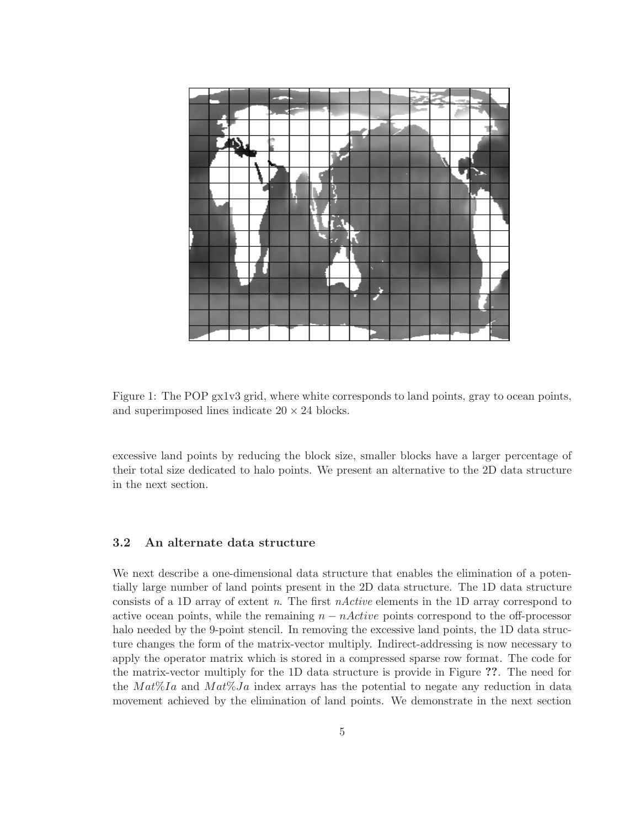

Figure 1: The POP gx1v3 grid, where white corresponds to land points, gray to ocean points, and superimposed lines indicate  $20 \times 24$  blocks.

excessive land points by reducing the block size, smaller blocks have a larger percentage of their total size dedicated to halo points. We present an alternative to the 2D data structure in the next section.

#### 3.2 An alternate data structure

We next describe a one-dimensional data structure that enables the elimination of a potentially large number of land points present in the 2D data structure. The 1D data structure consists of a 1D array of extent n. The first nActive elements in the 1D array correspond to active ocean points, while the remaining  $n - nActive$  points correspond to the off-processor halo needed by the 9-point stencil. In removing the excessive land points, the 1D data structure changes the form of the matrix-vector multiply. Indirect-addressing is now necessary to apply the operator matrix which is stored in a compressed sparse row format. The code for the matrix-vector multiply for the 1D data structure is provide in Figure ??. The need for the Mat%Ia and Mat%Ia index arrays has the potential to negate any reduction in data movement achieved by the elimination of land points. We demonstrate in the next section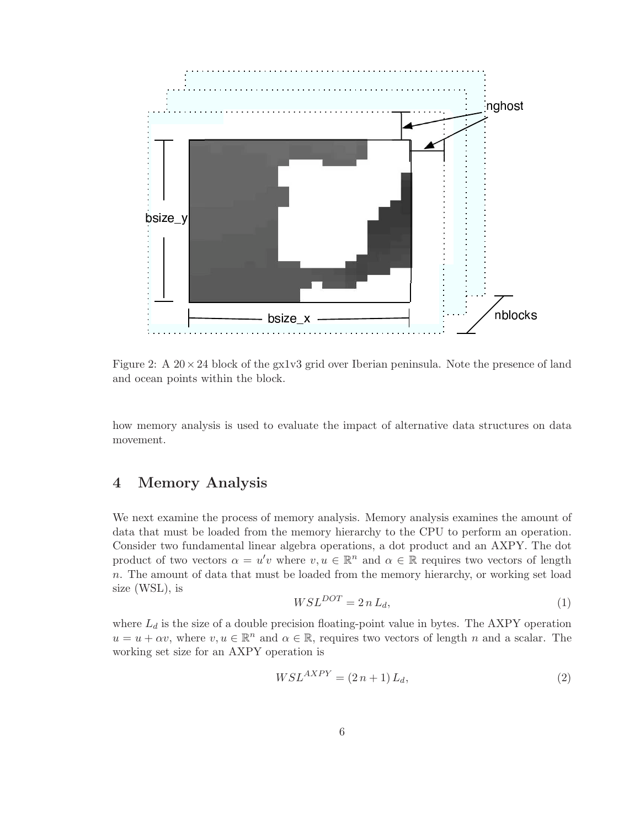

Figure 2: A  $20 \times 24$  block of the gx1v3 grid over Iberian peninsula. Note the presence of land and ocean points within the block.

how memory analysis is used to evaluate the impact of alternative data structures on data movement.

# 4 Memory Analysis

We next examine the process of memory analysis. Memory analysis examines the amount of data that must be loaded from the memory hierarchy to the CPU to perform an operation. Consider two fundamental linear algebra operations, a dot product and an AXPY. The dot product of two vectors  $\alpha = u'v$  where  $v, u \in \mathbb{R}^n$  and  $\alpha \in \mathbb{R}$  requires two vectors of length n. The amount of data that must be loaded from the memory hierarchy, or working set load size (WSL), is

$$
WSL^{DOT} = 2 n L_d, \tag{1}
$$

where  $L_d$  is the size of a double precision floating-point value in bytes. The AXPY operation  $u = u + \alpha v$ , where  $v, u \in \mathbb{R}^n$  and  $\alpha \in \mathbb{R}$ , requires two vectors of length n and a scalar. The working set size for an AXPY operation is

$$
WSL^{AXPY} = (2n+1)L_d,
$$
\n<sup>(2)</sup>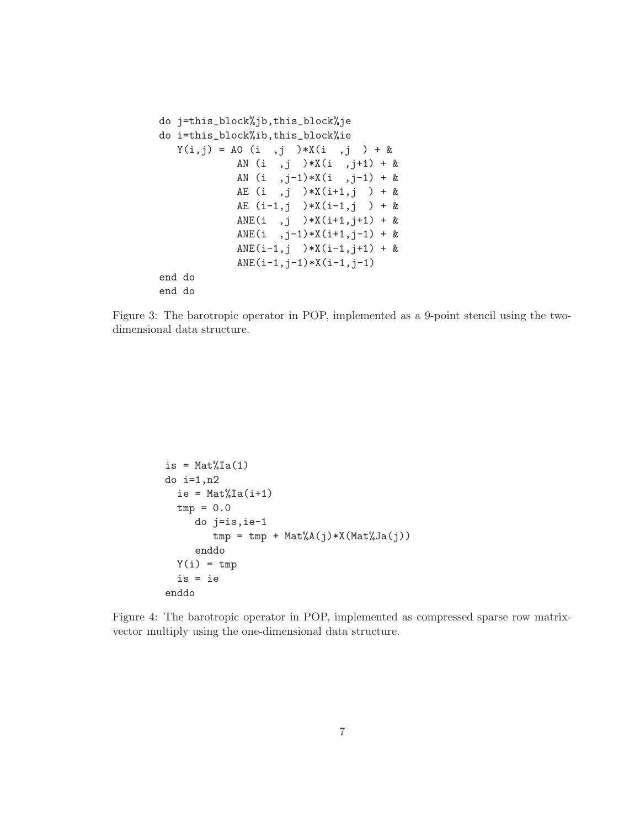```
do j=this_block%jb,this_block%je
do i=this_block%ib,this_block%ie
  Y(i,j) = A0 (i ,j ) *X(i, j) + kAN (i ,j )*X(i ,j+1) + &
             AN (i, j-1)*X(i, j-1) + kAE (i, j) *X(i+1, j) + &
             AE (i-1,j \rightarrow *X(i-1,j \rightarrow *k))ANE(i, j) *X(i+1, j+1) + &ANE(i, j-1)*X(i+1, j-1) + \&ANE(i-1,j )*X(i-1,j+1) + &ANE(i-1,j-1)*X(i-1,j-1)end do
end do
```
Figure 3: The barotropic operator in POP, implemented as a 9-point stencil using the twodimensional data structure.

```
is = Mat%Ia(1)do i=1,n2
  ie = Mat%Ia(i+1)tmp = 0.0do j=is,ie-1
         tmp = tmp + Mat<sub>W</sub>A(j)*X(Mat<sub>W</sub>A(j))enddo
  Y(i) = tmpis = ie
enddo
```
Figure 4: The barotropic operator in POP, implemented as compressed sparse row matrixvector multiply using the one-dimensional data structure.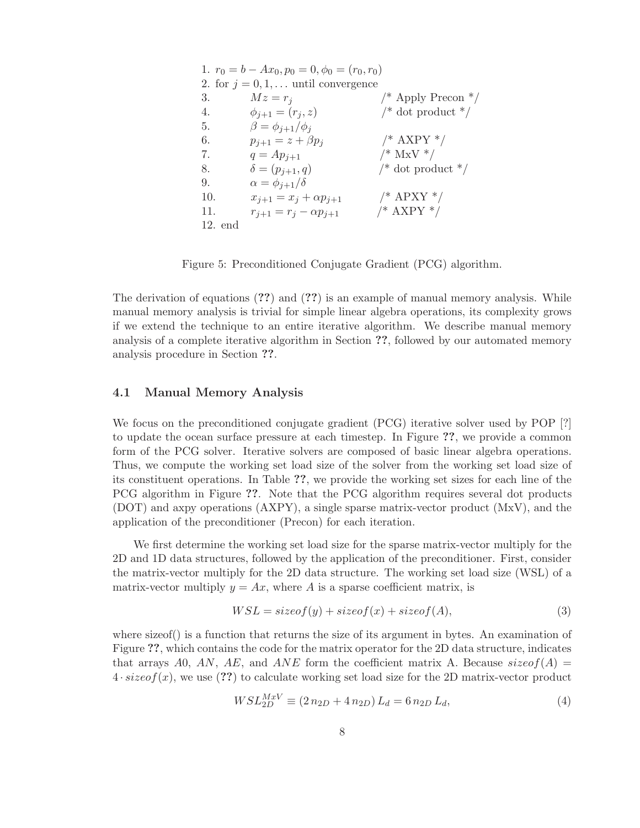|           | 1. $r_0 = b - Ax_0, p_0 = 0, \phi_0 = (r_0, r_0)$ |                                                       |
|-----------|---------------------------------------------------|-------------------------------------------------------|
|           | 2. for $j = 0, 1, \ldots$ until convergence       |                                                       |
| 3.        | $Mz=r_i$                                          | /* Apply Precon $*/$                                  |
| 4.        | $\phi_{j+1} = (r_j, z)$                           | /* dot product $*/$                                   |
| 5.        | $\beta = \phi_{i+1}/\phi_i$                       |                                                       |
| 6.        | $p_{i+1} = z + \beta p_i$                         | $/*$ AXPY $*/$                                        |
| 7.        | $q = Ap_{i+1}$                                    | $/*$ MxV $*/$                                         |
| 8.        | $\delta = (p_{i+1}, q)$                           | $\frac{1}{\sqrt{2}}$ dot product $\frac{1}{\sqrt{2}}$ |
| 9.        | $\alpha = \phi_{i+1}/\delta$                      |                                                       |
| 10.       | $x_{j+1} = x_j + \alpha p_{j+1}$                  | $/*$ APXY $*/$                                        |
| 11.       | $r_{j+1} = r_j - \alpha p_{j+1}$                  | $/*$ AXPY $*/$                                        |
| $12.$ end |                                                   |                                                       |

Figure 5: Preconditioned Conjugate Gradient (PCG) algorithm.

The derivation of equations (??) and (??) is an example of manual memory analysis. While manual memory analysis is trivial for simple linear algebra operations, its complexity grows if we extend the technique to an entire iterative algorithm. We describe manual memory analysis of a complete iterative algorithm in Section ??, followed by our automated memory analysis procedure in Section ??.

#### 4.1 Manual Memory Analysis

We focus on the preconditioned conjugate gradient (PCG) iterative solver used by POP [?] to update the ocean surface pressure at each timestep. In Figure ??, we provide a common form of the PCG solver. Iterative solvers are composed of basic linear algebra operations. Thus, we compute the working set load size of the solver from the working set load size of its constituent operations. In Table ??, we provide the working set sizes for each line of the PCG algorithm in Figure ??. Note that the PCG algorithm requires several dot products (DOT) and axpy operations (AXPY), a single sparse matrix-vector product (MxV), and the application of the preconditioner (Precon) for each iteration.

We first determine the working set load size for the sparse matrix-vector multiply for the 2D and 1D data structures, followed by the application of the preconditioner. First, consider the matrix-vector multiply for the 2D data structure. The working set load size (WSL) of a matrix-vector multiply  $y = Ax$ , where A is a sparse coefficient matrix, is

$$
WSL = sizeof(y) + sizeof(x) + sizeof(A),
$$
\n(3)

where sizeof() is a function that returns the size of its argument in bytes. An examination of Figure ??, which contains the code for the matrix operator for the 2D data structure, indicates that arrays A0, AN, AE, and ANE form the coefficient matrix A. Because  $sizeof(A)$  $4 \cdot sizeof(x)$ , we use (??) to calculate working set load size for the 2D matrix-vector product

$$
WSL_{2D}^{MxV} \equiv (2 n_{2D} + 4 n_{2D}) L_d = 6 n_{2D} L_d, \tag{4}
$$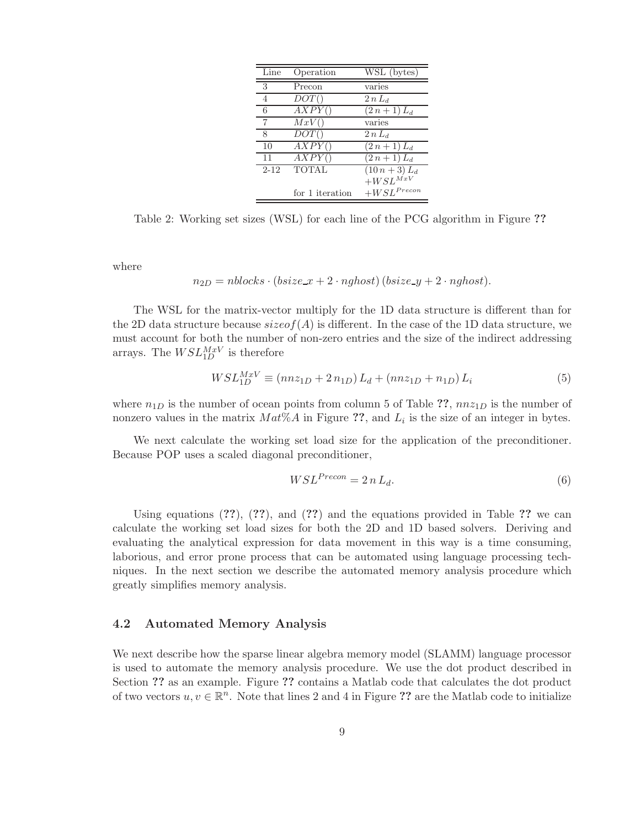| Line     | Operation          | WSL (bytes)      |
|----------|--------------------|------------------|
| 3        | Precon             | varies           |
| 4        | $\overline{D}OT()$ | $2 n L_d$        |
| 6        | AXPY()             | $(2 n + 1) L_d$  |
| 7        | MxV()              | varies           |
| 8        | $\overline{D}OT()$ | $2 n L_d$        |
| 10       | AXPY(              | $(2 n + 1) L_d$  |
| 11       | AXPY(              | $(2 n + 1) L_d$  |
| $2 - 12$ | <b>TOTAL</b>       | $(10 n + 3) L_d$ |
|          |                    | $+WSL^{MxV}$     |
|          | for 1 iteration    | $+WSL^{Precon}$  |

Table 2: Working set sizes (WSL) for each line of the PCG algorithm in Figure ??

where

$$
n_{2D} = nblocks \cdot (bsize\_x + 2 \cdot nghost) (bsize\_y + 2 \cdot nghost).
$$

The WSL for the matrix-vector multiply for the 1D data structure is different than for the 2D data structure because  $sizeof(A)$  is different. In the case of the 1D data structure, we must account for both the number of non-zero entries and the size of the indirect addressing arrays. The  $WSL_{1D}^{MxV}$  is therefore

$$
WSL_{1D}^{MxV} \equiv (nnz_{1D} + 2 n_{1D}) L_d + (nnz_{1D} + n_{1D}) L_i
$$
\n(5)

where  $n_{1D}$  is the number of ocean points from column 5 of Table ??,  $nnz_{1D}$  is the number of nonzero values in the matrix  $Mat\%A$  in Figure ??, and  $L_i$  is the size of an integer in bytes.

We next calculate the working set load size for the application of the preconditioner. Because POP uses a scaled diagonal preconditioner,

$$
WSL^{Precon} = 2 n L_d. \tag{6}
$$

Using equations  $(??)$ ,  $(??)$ , and  $(??)$  and the equations provided in Table  $??$  we can calculate the working set load sizes for both the 2D and 1D based solvers. Deriving and evaluating the analytical expression for data movement in this way is a time consuming, laborious, and error prone process that can be automated using language processing techniques. In the next section we describe the automated memory analysis procedure which greatly simplifies memory analysis.

#### 4.2 Automated Memory Analysis

We next describe how the sparse linear algebra memory model (SLAMM) language processor is used to automate the memory analysis procedure. We use the dot product described in Section ?? as an example. Figure ?? contains a Matlab code that calculates the dot product of two vectors  $u, v \in \mathbb{R}^n$ . Note that lines 2 and 4 in Figure ?? are the Matlab code to initialize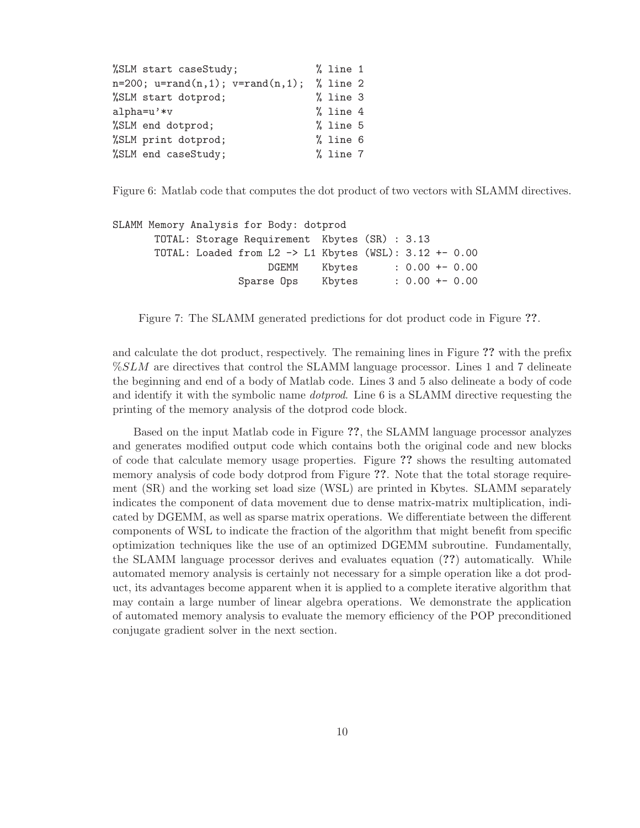| %SLM start caseStudy;                     | % line 1 |  |
|-------------------------------------------|----------|--|
| $n=200$ ; $u=rand(n,1)$ ; $v=rand(n,1)$ ; | % line 2 |  |
| %SLM start dotprod;                       | % line 3 |  |
| alpha=u'*v                                | % line 4 |  |
| %SLM end dotprod;                         | % line 5 |  |
| %SLM print dotprod;                       | % line 6 |  |
| %SLM end caseStudy;                       | % line 7 |  |

Figure 6: Matlab code that computes the dot product of two vectors with SLAMM directives.

|  | SLAMM Memory Analysis for Body: dotprod                |            |       |  |        |  |                          |  |
|--|--------------------------------------------------------|------------|-------|--|--------|--|--------------------------|--|
|  | TOTAL: Storage Requirement Kbytes (SR) : 3.13          |            |       |  |        |  |                          |  |
|  | TOTAL: Loaded from L2 -> L1 Kbytes (WSL): 3.12 +- 0.00 |            |       |  |        |  |                          |  |
|  |                                                        |            | DGEMM |  | Kbytes |  | $: 0.00 \leftarrow 0.00$ |  |
|  |                                                        | Sparse Ops |       |  | Kbytes |  | $: 0.00 \leftarrow 0.00$ |  |

Figure 7: The SLAMM generated predictions for dot product code in Figure ??.

and calculate the dot product, respectively. The remaining lines in Figure ?? with the prefix %SLM are directives that control the SLAMM language processor. Lines 1 and 7 delineate the beginning and end of a body of Matlab code. Lines 3 and 5 also delineate a body of code and identify it with the symbolic name *dotprod*. Line 6 is a SLAMM directive requesting the printing of the memory analysis of the dotprod code block.

Based on the input Matlab code in Figure ??, the SLAMM language processor analyzes and generates modified output code which contains both the original code and new blocks of code that calculate memory usage properties. Figure ?? shows the resulting automated memory analysis of code body dotprod from Figure ??. Note that the total storage requirement (SR) and the working set load size (WSL) are printed in Kbytes. SLAMM separately indicates the component of data movement due to dense matrix-matrix multiplication, indicated by DGEMM, as well as sparse matrix operations. We differentiate between the different components of WSL to indicate the fraction of the algorithm that might benefit from specific optimization techniques like the use of an optimized DGEMM subroutine. Fundamentally, the SLAMM language processor derives and evaluates equation (??) automatically. While automated memory analysis is certainly not necessary for a simple operation like a dot product, its advantages become apparent when it is applied to a complete iterative algorithm that may contain a large number of linear algebra operations. We demonstrate the application of automated memory analysis to evaluate the memory efficiency of the POP preconditioned conjugate gradient solver in the next section.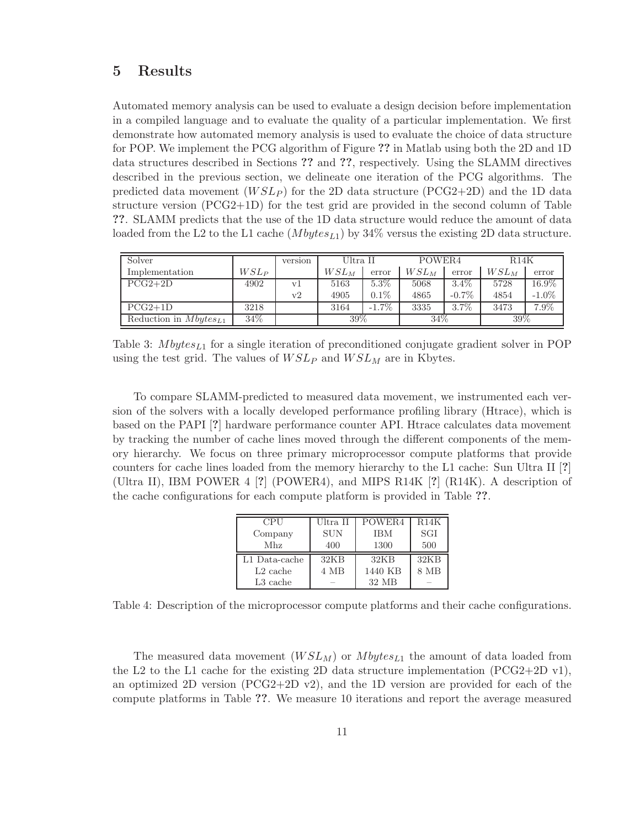# 5 Results

Automated memory analysis can be used to evaluate a design decision before implementation in a compiled language and to evaluate the quality of a particular implementation. We first demonstrate how automated memory analysis is used to evaluate the choice of data structure for POP. We implement the PCG algorithm of Figure ?? in Matlab using both the 2D and 1D data structures described in Sections ?? and ??, respectively. Using the SLAMM directives described in the previous section, we delineate one iteration of the PCG algorithms. The predicted data movement  $(WSL_P)$  for the 2D data structure (PCG2+2D) and the 1D data structure version (PCG2+1D) for the test grid are provided in the second column of Table ??. SLAMM predicts that the use of the 1D data structure would reduce the amount of data loaded from the L2 to the L1 cache ( $M bytes_{L1}$ ) by  $34\%$  versus the existing 2D data structure.

| Solver                     |         | version | Ultra II |          | POWER4  |          | R14K    |          |
|----------------------------|---------|---------|----------|----------|---------|----------|---------|----------|
| Implementation             | $WSL_P$ |         | $WSL_M$  | error    | $WSL_M$ | error    | $WSL_M$ | error    |
| $PCG2+2D$                  | 4902    | v1      | 5163     | $5.3\%$  | 5068    | $3.4\%$  | 5728    | 16.9%    |
|                            |         | v2      | 4905     | $0.1\%$  | 4865    | $-0.7\%$ | 4854    | $-1.0\%$ |
| $\overline{PCG2+1D}$       | 3218    |         | 3164     | $-1.7\%$ | 3335    | $3.7\%$  | 3473    | $7.9\%$  |
| Reduction in $Mbytes_{L1}$ | 34\%    |         | 39%      |          | 34%     |          | 39%     |          |

Table 3:  $Mbytes_{L1}$  for a single iteration of preconditioned conjugate gradient solver in POP using the test grid. The values of  $WSL_P$  and  $WSL_M$  are in Kbytes.

To compare SLAMM-predicted to measured data movement, we instrumented each version of the solvers with a locally developed performance profiling library (Htrace), which is based on the PAPI [?] hardware performance counter API. Htrace calculates data movement by tracking the number of cache lines moved through the different components of the memory hierarchy. We focus on three primary microprocessor compute platforms that provide counters for cache lines loaded from the memory hierarchy to the L1 cache: Sun Ultra II [?] (Ultra II), IBM POWER 4 [?] (POWER4), and MIPS R14K [?]  $(R14K)$ . A description of the cache configurations for each compute platform is provided in Table ??.

| <b>CPU</b><br>Company | Ultra II<br><b>SUN</b> | POWER4<br><b>IBM</b> | R14K<br>SGI |
|-----------------------|------------------------|----------------------|-------------|
| Mhz                   | 400                    | 1300                 | 500         |
| L1 Data-cache         | 32KB                   | 32KB                 | 32KB        |
| $L2$ cache            | 4 MB                   | 1440 KB              | 8 MB        |
| $L3$ cache            |                        | 32 MB                |             |

Table 4: Description of the microprocessor compute platforms and their cache configurations.

The measured data movement  $(WSL_M)$  or  $Mbytes_{L1}$  the amount of data loaded from the L2 to the L1 cache for the existing 2D data structure implementation  $(PCG2+2D \text{ v1})$ , an optimized 2D version (PCG2+2D v2), and the 1D version are provided for each of the compute platforms in Table ??. We measure 10 iterations and report the average measured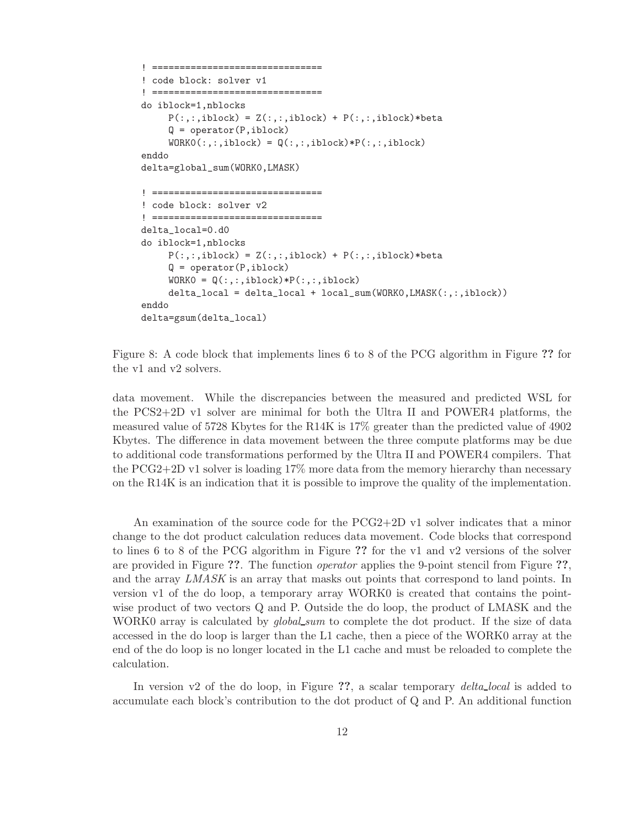```
! ===============================
! code block: solver v1
! ===============================
do iblock=1,nblocks
     P(:,:,iblock) = Z(:,:,iblock) + P(:,:,iblock)*betaQ = operator(P, iblock)WORKO(:,:,\text{iblock}) = Q(:,:,\text{iblock})*P(:,:,\text{iblock})enddo
delta=global_sum(WORK0,LMASK)
! ===============================
! code block: solver v2
! ===============================
delta_local=0.d0
do iblock=1,nblocks
     P(:,:,\text{iblock}) = Z(:,:,\text{iblock}) + P(:,:,\text{iblock}) * \text{beta}Q = operator(P, iblock)WORKO = Q(:,:,iblock)*P(:,:,iblock)delta_local = delta_local + local_sum(WORK0,LMASK(:,:,iblock))
enddo
delta=gsum(delta_local)
```
Figure 8: A code block that implements lines 6 to 8 of the PCG algorithm in Figure ?? for the v1 and v2 solvers.

data movement. While the discrepancies between the measured and predicted WSL for the PCS2+2D v1 solver are minimal for both the Ultra II and POWER4 platforms, the measured value of 5728 Kbytes for the R14K is 17% greater than the predicted value of 4902 Kbytes. The difference in data movement between the three compute platforms may be due to additional code transformations performed by the Ultra II and POWER4 compilers. That the PCG2+2D v1 solver is loading 17% more data from the memory hierarchy than necessary on the R14K is an indication that it is possible to improve the quality of the implementation.

An examination of the source code for the PCG2+2D v1 solver indicates that a minor change to the dot product calculation reduces data movement. Code blocks that correspond to lines 6 to 8 of the PCG algorithm in Figure ?? for the v1 and v2 versions of the solver are provided in Figure ??. The function operator applies the 9-point stencil from Figure ??, and the array LMASK is an array that masks out points that correspond to land points. In version v1 of the do loop, a temporary array WORK0 is created that contains the pointwise product of two vectors Q and P. Outside the do loop, the product of LMASK and the WORK0 array is calculated by *global\_sum* to complete the dot product. If the size of data accessed in the do loop is larger than the L1 cache, then a piece of the WORK0 array at the end of the do loop is no longer located in the L1 cache and must be reloaded to complete the calculation.

In version v2 of the do loop, in Figure ??, a scalar temporary *delta*-local is added to accumulate each block's contribution to the dot product of Q and P. An additional function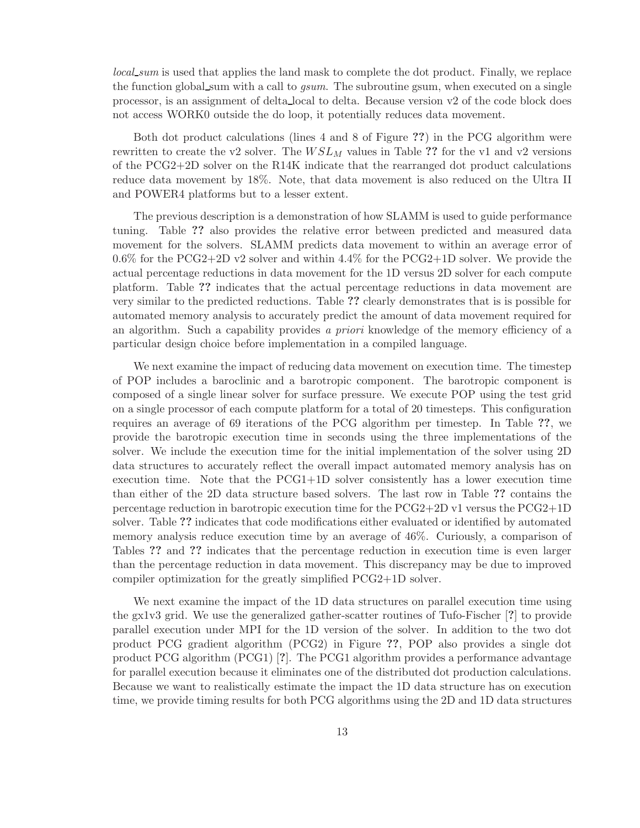local sum is used that applies the land mask to complete the dot product. Finally, we replace the function global sum with a call to *gsum*. The subroutine gsum, when executed on a single processor, is an assignment of delta local to delta. Because version v2 of the code block does not access WORK0 outside the do loop, it potentially reduces data movement.

Both dot product calculations (lines 4 and 8 of Figure ??) in the PCG algorithm were rewritten to create the v2 solver. The  $WSL_M$  values in Table ?? for the v1 and v2 versions of the PCG2+2D solver on the R14K indicate that the rearranged dot product calculations reduce data movement by 18%. Note, that data movement is also reduced on the Ultra II and POWER4 platforms but to a lesser extent.

The previous description is a demonstration of how SLAMM is used to guide performance tuning. Table ?? also provides the relative error between predicted and measured data movement for the solvers. SLAMM predicts data movement to within an average error of  $0.6\%$  for the PCG2+2D v2 solver and within  $4.4\%$  for the PCG2+1D solver. We provide the actual percentage reductions in data movement for the 1D versus 2D solver for each compute platform. Table ?? indicates that the actual percentage reductions in data movement are very similar to the predicted reductions. Table ?? clearly demonstrates that is is possible for automated memory analysis to accurately predict the amount of data movement required for an algorithm. Such a capability provides a priori knowledge of the memory efficiency of a particular design choice before implementation in a compiled language.

We next examine the impact of reducing data movement on execution time. The timestep of POP includes a baroclinic and a barotropic component. The barotropic component is composed of a single linear solver for surface pressure. We execute POP using the test grid on a single processor of each compute platform for a total of 20 timesteps. This configuration requires an average of 69 iterations of the PCG algorithm per timestep. In Table ??, we provide the barotropic execution time in seconds using the three implementations of the solver. We include the execution time for the initial implementation of the solver using 2D data structures to accurately reflect the overall impact automated memory analysis has on execution time. Note that the PCG1+1D solver consistently has a lower execution time than either of the 2D data structure based solvers. The last row in Table ?? contains the percentage reduction in barotropic execution time for the PCG2+2D v1 versus the PCG2+1D solver. Table ?? indicates that code modifications either evaluated or identified by automated memory analysis reduce execution time by an average of 46%. Curiously, a comparison of Tables ?? and ?? indicates that the percentage reduction in execution time is even larger than the percentage reduction in data movement. This discrepancy may be due to improved compiler optimization for the greatly simplified PCG2+1D solver.

We next examine the impact of the 1D data structures on parallel execution time using the gx1v3 grid. We use the generalized gather-scatter routines of Tufo-Fischer [?] to provide parallel execution under MPI for the 1D version of the solver. In addition to the two dot product PCG gradient algorithm (PCG2) in Figure ??, POP also provides a single dot product PCG algorithm (PCG1) [?]. The PCG1 algorithm provides a performance advantage for parallel execution because it eliminates one of the distributed dot production calculations. Because we want to realistically estimate the impact the 1D data structure has on execution time, we provide timing results for both PCG algorithms using the 2D and 1D data structures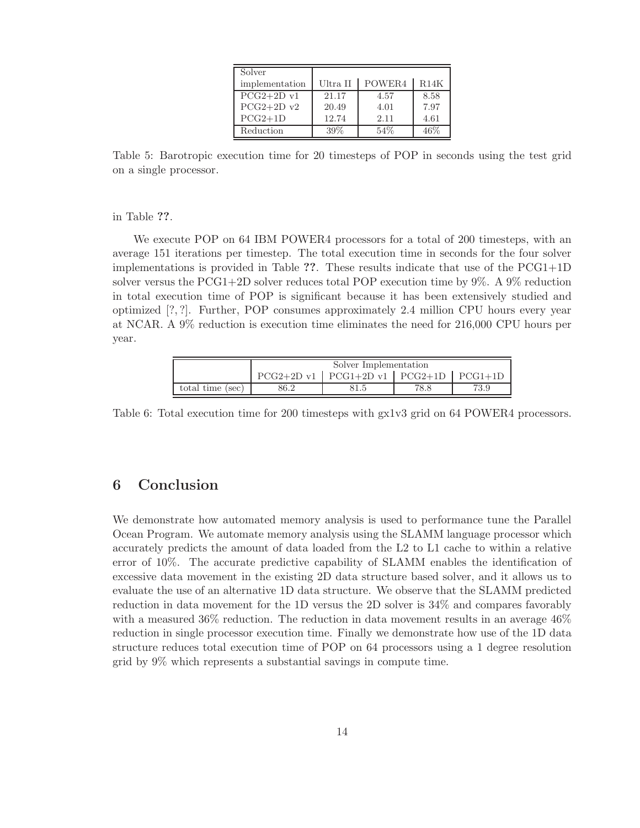| Solver         |          |        |      |
|----------------|----------|--------|------|
| implementation | Ultra II | POWER4 | R14K |
| $PCG2+2Dv1$    | 21.17    | 4.57   | 8.58 |
| $PCG2+2D v2$   | 20.49    | 4.01   | 7.97 |
| $PCG2+1D$      | 12.74    | 2.11   | 4.61 |
| Reduction      | 39%      | 54%    | 46%  |

Table 5: Barotropic execution time for 20 timesteps of POP in seconds using the test grid on a single processor.

in Table ??.

We execute POP on 64 IBM POWER4 processors for a total of 200 timesteps, with an average 151 iterations per timestep. The total execution time in seconds for the four solver implementations is provided in Table  $\mathsf{??}$ . These results indicate that use of the PCG1+1D solver versus the PCG1+2D solver reduces total POP execution time by 9%. A 9% reduction in total execution time of POP is significant because it has been extensively studied and optimized [?, ?]. Further, POP consumes approximately 2.4 million CPU hours every year at NCAR. A 9% reduction is execution time eliminates the need for 216,000 CPU hours per year.

|                  | Solver Implementation |                                               |      |      |  |  |  |  |  |
|------------------|-----------------------|-----------------------------------------------|------|------|--|--|--|--|--|
|                  |                       | $PCG2+2D v1$ $PCG1+2D v1$ $PCG2+1D$ $PCG1+1D$ |      |      |  |  |  |  |  |
| total time (sec) | 86.2                  | 81.5                                          | 78.8 | 73.9 |  |  |  |  |  |

Table 6: Total execution time for 200 timesteps with gx1v3 grid on 64 POWER4 processors.

# 6 Conclusion

We demonstrate how automated memory analysis is used to performance tune the Parallel Ocean Program. We automate memory analysis using the SLAMM language processor which accurately predicts the amount of data loaded from the L2 to L1 cache to within a relative error of 10%. The accurate predictive capability of SLAMM enables the identification of excessive data movement in the existing 2D data structure based solver, and it allows us to evaluate the use of an alternative 1D data structure. We observe that the SLAMM predicted reduction in data movement for the 1D versus the 2D solver is 34% and compares favorably with a measured  $36\%$  reduction. The reduction in data movement results in an average  $46\%$ reduction in single processor execution time. Finally we demonstrate how use of the 1D data structure reduces total execution time of POP on 64 processors using a 1 degree resolution grid by 9% which represents a substantial savings in compute time.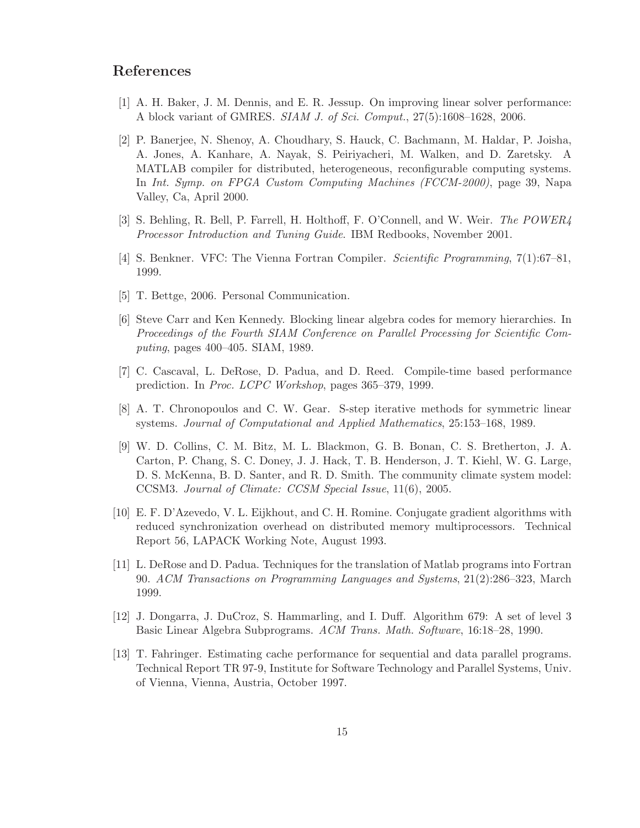# References

- [1] A. H. Baker, J. M. Dennis, and E. R. Jessup. On improving linear solver performance: A block variant of GMRES. SIAM J. of Sci. Comput., 27(5):1608–1628, 2006.
- [2] P. Banerjee, N. Shenoy, A. Choudhary, S. Hauck, C. Bachmann, M. Haldar, P. Joisha, A. Jones, A. Kanhare, A. Nayak, S. Peiriyacheri, M. Walken, and D. Zaretsky. A MATLAB compiler for distributed, heterogeneous, reconfigurable computing systems. In Int. Symp. on FPGA Custom Computing Machines (FCCM-2000), page 39, Napa Valley, Ca, April 2000.
- [3] S. Behling, R. Bell, P. Farrell, H. Holthoff, F. O'Connell, and W. Weir. The POWER4 Processor Introduction and Tuning Guide. IBM Redbooks, November 2001.
- [4] S. Benkner. VFC: The Vienna Fortran Compiler. Scientific Programming, 7(1):67–81, 1999.
- [5] T. Bettge, 2006. Personal Communication.
- [6] Steve Carr and Ken Kennedy. Blocking linear algebra codes for memory hierarchies. In Proceedings of the Fourth SIAM Conference on Parallel Processing for Scientific Computing, pages 400–405. SIAM, 1989.
- [7] C. Cascaval, L. DeRose, D. Padua, and D. Reed. Compile-time based performance prediction. In Proc. LCPC Workshop, pages 365–379, 1999.
- [8] A. T. Chronopoulos and C. W. Gear. S-step iterative methods for symmetric linear systems. Journal of Computational and Applied Mathematics, 25:153–168, 1989.
- [9] W. D. Collins, C. M. Bitz, M. L. Blackmon, G. B. Bonan, C. S. Bretherton, J. A. Carton, P. Chang, S. C. Doney, J. J. Hack, T. B. Henderson, J. T. Kiehl, W. G. Large, D. S. McKenna, B. D. Santer, and R. D. Smith. The community climate system model: CCSM3. Journal of Climate: CCSM Special Issue, 11(6), 2005.
- [10] E. F. D'Azevedo, V. L. Eijkhout, and C. H. Romine. Conjugate gradient algorithms with reduced synchronization overhead on distributed memory multiprocessors. Technical Report 56, LAPACK Working Note, August 1993.
- [11] L. DeRose and D. Padua. Techniques for the translation of Matlab programs into Fortran 90. ACM Transactions on Programming Languages and Systems, 21(2):286–323, March 1999.
- [12] J. Dongarra, J. DuCroz, S. Hammarling, and I. Duff. Algorithm 679: A set of level 3 Basic Linear Algebra Subprograms. ACM Trans. Math. Software, 16:18–28, 1990.
- [13] T. Fahringer. Estimating cache performance for sequential and data parallel programs. Technical Report TR 97-9, Institute for Software Technology and Parallel Systems, Univ. of Vienna, Vienna, Austria, October 1997.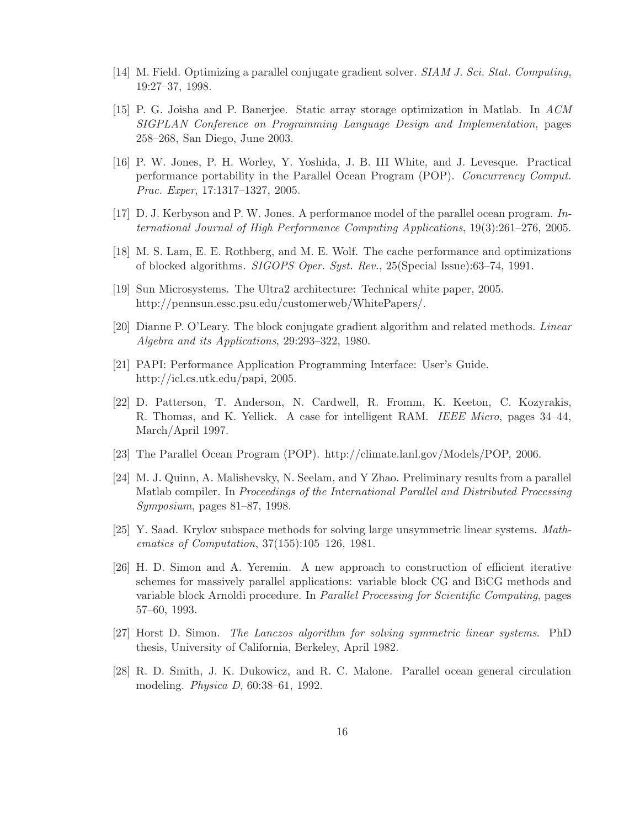- [14] M. Field. Optimizing a parallel conjugate gradient solver. SIAM J. Sci. Stat. Computing, 19:27–37, 1998.
- [15] P. G. Joisha and P. Banerjee. Static array storage optimization in Matlab. In ACM SIGPLAN Conference on Programming Language Design and Implementation, pages 258–268, San Diego, June 2003.
- [16] P. W. Jones, P. H. Worley, Y. Yoshida, J. B. III White, and J. Levesque. Practical performance portability in the Parallel Ocean Program (POP). Concurrency Comput. Prac. Exper, 17:1317–1327, 2005.
- [17] D. J. Kerbyson and P. W. Jones. A performance model of the parallel ocean program. International Journal of High Performance Computing Applications, 19(3):261–276, 2005.
- [18] M. S. Lam, E. E. Rothberg, and M. E. Wolf. The cache performance and optimizations of blocked algorithms. SIGOPS Oper. Syst. Rev., 25(Special Issue):63–74, 1991.
- [19] Sun Microsystems. The Ultra2 architecture: Technical white paper, 2005. http://pennsun.essc.psu.edu/customerweb/WhitePapers/.
- [20] Dianne P. O'Leary. The block conjugate gradient algorithm and related methods. Linear Algebra and its Applications, 29:293–322, 1980.
- [21] PAPI: Performance Application Programming Interface: User's Guide. http://icl.cs.utk.edu/papi, 2005.
- [22] D. Patterson, T. Anderson, N. Cardwell, R. Fromm, K. Keeton, C. Kozyrakis, R. Thomas, and K. Yellick. A case for intelligent RAM. IEEE Micro, pages 34–44, March/April 1997.
- [23] The Parallel Ocean Program (POP). http://climate.lanl.gov/Models/POP, 2006.
- [24] M. J. Quinn, A. Malishevsky, N. Seelam, and Y Zhao. Preliminary results from a parallel Matlab compiler. In Proceedings of the International Parallel and Distributed Processing Symposium, pages 81–87, 1998.
- [25] Y. Saad. Krylov subspace methods for solving large unsymmetric linear systems. Mathematics of Computation, 37(155):105–126, 1981.
- [26] H. D. Simon and A. Yeremin. A new approach to construction of efficient iterative schemes for massively parallel applications: variable block CG and BiCG methods and variable block Arnoldi procedure. In Parallel Processing for Scientific Computing, pages 57–60, 1993.
- [27] Horst D. Simon. The Lanczos algorithm for solving symmetric linear systems. PhD thesis, University of California, Berkeley, April 1982.
- [28] R. D. Smith, J. K. Dukowicz, and R. C. Malone. Parallel ocean general circulation modeling. Physica D, 60:38–61, 1992.